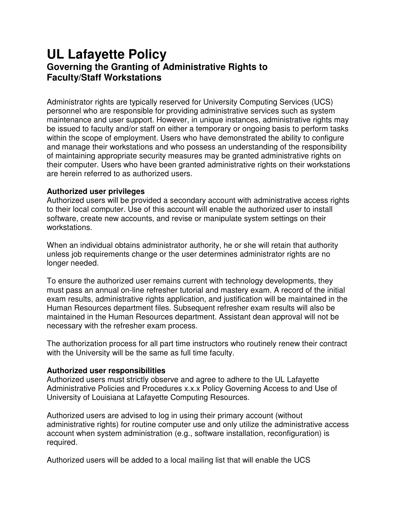# **UL Lafayette Policy Governing the Granting of Administrative Rights to Faculty/Staff Workstations**

Administrator rights are typically reserved for University Computing Services (UCS) personnel who are responsible for providing administrative services such as system maintenance and user support. However, in unique instances, administrative rights may be issued to faculty and/or staff on either a temporary or ongoing basis to perform tasks within the scope of employment. Users who have demonstrated the ability to configure and manage their workstations and who possess an understanding of the responsibility of maintaining appropriate security measures may be granted administrative rights on their computer. Users who have been granted administrative rights on their workstations are herein referred to as authorized users.

#### **Authorized user privileges**

Authorized users will be provided a secondary account with administrative access rights to their local computer. Use of this account will enable the authorized user to install software, create new accounts, and revise or manipulate system settings on their workstations.

When an individual obtains administrator authority, he or she will retain that authority unless job requirements change or the user determines administrator rights are no longer needed.

To ensure the authorized user remains current with technology developments, they must pass an annual on-line refresher tutorial and mastery exam. A record of the initial exam results, administrative rights application, and justification will be maintained in the Human Resources department files. Subsequent refresher exam results will also be maintained in the Human Resources department. Assistant dean approval will not be necessary with the refresher exam process.

The authorization process for all part time instructors who routinely renew their contract with the University will be the same as full time faculty.

#### **Authorized user responsibilities**

Authorized users must strictly observe and agree to adhere to the UL Lafayette Administrative Policies and Procedures x.x.x Policy Governing Access to and Use of University of Louisiana at Lafayette Computing Resources.

Authorized users are advised to log in using their primary account (without administrative rights) for routine computer use and only utilize the administrative access account when system administration (e.g., software installation, reconfiguration) is required.

Authorized users will be added to a local mailing list that will enable the UCS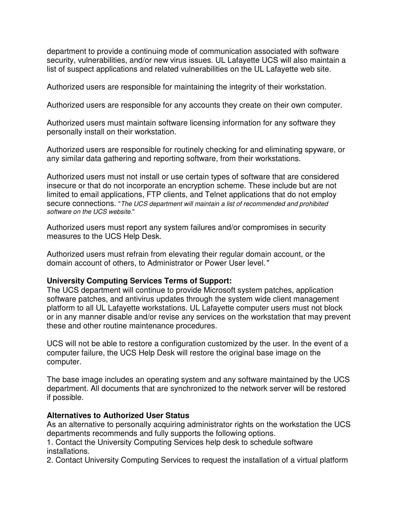department to provide a continuing mode of communication associated with software security, vulnerabilities, and/or new virus issues. UL Lafayette UCS will also maintain a list of suspect applications and related vulnerabilities on the UL Lafayette web site.

Authorized users are responsible for maintaining the integrity of their workstation.

Authorized users are responsible for any accounts they create on their own computer.

Authorized users must maintain software licensing information for any software they personally install on their workstation.

Authorized users are responsible for routinely checking for and eliminating spyware, or any similar data gathering and reporting software, from their workstations.

Authorized users must not install or use certain types of software that are considered insecure or that do not incorporate an encryption scheme. These include but are not limited to email applications, FTP clients, and Telnet applications that do not employ secure connections. "The UCS department will maintain a list of recommended and prohibited software on the UCS website."

Authorized users must report any system failures and/or compromises in security measures to the UCS Help Desk.

Authorized users must refrain from elevating their regular domain account, or the domain account of others, to Administrator or Power User level."

#### **University Computing Services Terms of Support:**

The UCS department will continue to provide Microsoft system patches, application software patches, and antivirus updates through the system wide client management platform to all UL Lafayette workstations. UL Lafayette computer users must not block or in any manner disable and/or revise any services on the workstation that may prevent these and other routine maintenance procedures.

UCS will not be able to restore a configuration customized by the user. In the event of a computer failure, the UCS Help Desk will restore the original base image on the computer.

The base image includes an operating system and any software maintained by the UCS department. All documents that are synchronized to the network server will be restored if possible.

#### **Alternatives to Authorized User Status**

As an alternative to personally acquiring administrator rights on the workstation the UCS departments recommends and fully supports the following options.

1. Contact the University Computing Services help desk to schedule software installations.

2. Contact University Computing Services to request the installation of a virtual platform